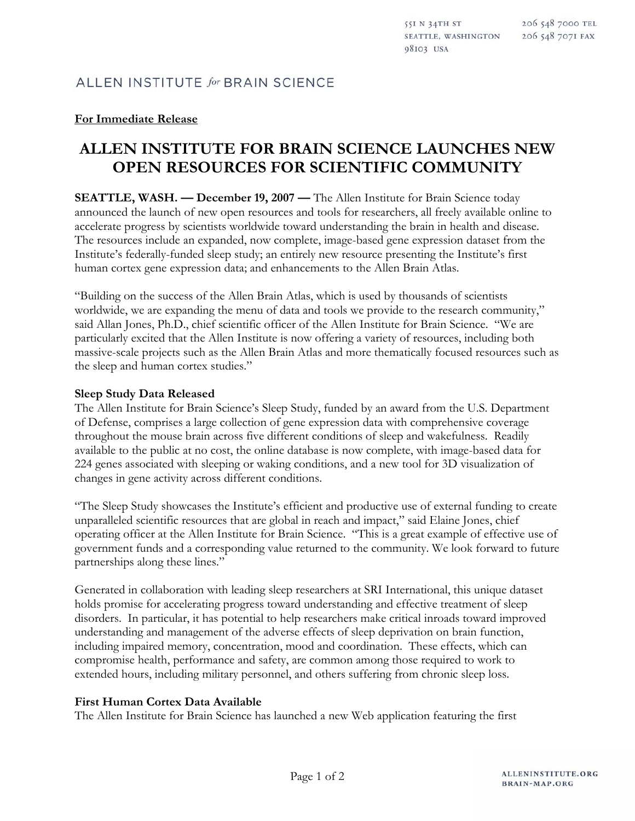# **For Immediate Release**

# **ALLEN INSTITUTE FOR BRAIN SCIENCE LAUNCHES NEW OPEN RESOURCES FOR SCIENTIFIC COMMUNITY**

**SEATTLE, WASH. — December 19, 2007 — The Allen Institute for Brain Science today** announced the launch of new open resources and tools for researchers, all freely available online to accelerate progress by scientists worldwide toward understanding the brain in health and disease. The resources include an expanded, now complete, image-based gene expression dataset from the Institute's federally-funded sleep study; an entirely new resource presenting the Institute's first human cortex gene expression data; and enhancements to the Allen Brain Atlas.

"Building on the success of the Allen Brain Atlas, which is used by thousands of scientists worldwide, we are expanding the menu of data and tools we provide to the research community," said Allan Jones, Ph.D., chief scientific officer of the Allen Institute for Brain Science. "We are particularly excited that the Allen Institute is now offering a variety of resources, including both massive-scale projects such as the Allen Brain Atlas and more thematically focused resources such as the sleep and human cortex studies."

#### **Sleep Study Data Released**

The Allen Institute for Brain Science's Sleep Study, funded by an award from the U.S. Department of Defense, comprises a large collection of gene expression data with comprehensive coverage throughout the mouse brain across five different conditions of sleep and wakefulness. Readily available to the public at no cost, the online database is now complete, with image-based data for 224 genes associated with sleeping or waking conditions, and a new tool for 3D visualization of changes in gene activity across different conditions.

"The Sleep Study showcases the Institute's efficient and productive use of external funding to create unparalleled scientific resources that are global in reach and impact," said Elaine Jones, chief operating officer at the Allen Institute for Brain Science. "This is a great example of effective use of government funds and a corresponding value returned to the community. We look forward to future partnerships along these lines."

Generated in collaboration with leading sleep researchers at SRI International, this unique dataset holds promise for accelerating progress toward understanding and effective treatment of sleep disorders. In particular, it has potential to help researchers make critical inroads toward improved understanding and management of the adverse effects of sleep deprivation on brain function, including impaired memory, concentration, mood and coordination. These effects, which can compromise health, performance and safety, are common among those required to work to extended hours, including military personnel, and others suffering from chronic sleep loss.

## **First Human Cortex Data Available**

The Allen Institute for Brain Science has launched a new Web application featuring the first